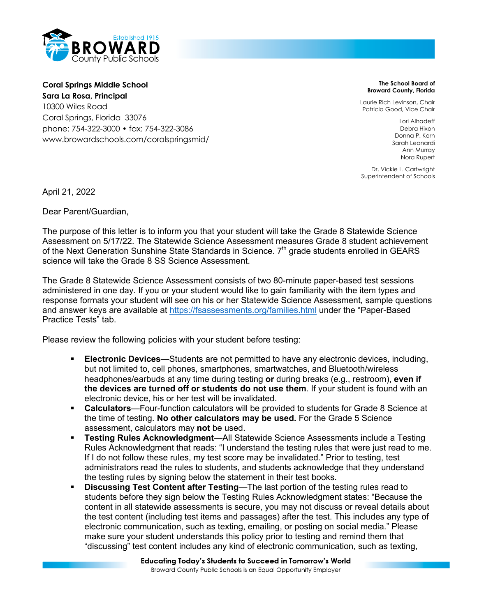

**Coral Springs Middle School Sara La Rosa, Principal** 10300 Wiles Road Coral Springs, Florida 33076 phone: 754-322-3000 • fax: 754-322-3086 www.browardschools.com/coralspringsmid/

**The School Board of Broward County, Florida**

Laurie Rich Levinson, Chair Patricia Good, Vice Chair

> Lori Alhadeff Debra Hixon Donna P. Korn Sarah Leonardi Ann Murray Nora Rupert

Dr. Vickie L. Cartwright Superintendent of Schools

April 21, 2022

Dear Parent/Guardian,

The purpose of this letter is to inform you that your student will take the Grade 8 Statewide Science Assessment on 5/17/22. The Statewide Science Assessment measures Grade 8 student achievement of the Next Generation Sunshine State Standards in Science.  $7<sup>th</sup>$  grade students enrolled in GEARS science will take the Grade 8 SS Science Assessment.

The Grade 8 Statewide Science Assessment consists of two 80-minute paper-based test sessions administered in one day. If you or your student would like to gain familiarity with the item types and response formats your student will see on his or her Statewide Science Assessment, sample questions and answer keys are available at https://fsassessments.org/families.html under the "Paper-Based Practice Tests" tab.

Please review the following policies with your student before testing:

- § **Electronic Devices**—Students are not permitted to have any electronic devices, including, but not limited to, cell phones, smartphones, smartwatches, and Bluetooth/wireless headphones/earbuds at any time during testing **or** during breaks (e.g., restroom), **even if the devices are turned off or students do not use them**. If your student is found with an electronic device, his or her test will be invalidated.
- § **Calculators**—Four-function calculators will be provided to students for Grade 8 Science at the time of testing. **No other calculators may be used.** For the Grade 5 Science assessment, calculators may **not** be used.
- § **Testing Rules Acknowledgment**—All Statewide Science Assessments include a Testing Rules Acknowledgment that reads: "I understand the testing rules that were just read to me. If I do not follow these rules, my test score may be invalidated." Prior to testing, test administrators read the rules to students, and students acknowledge that they understand the testing rules by signing below the statement in their test books.
- **Discussing Test Content after Testing—The last portion of the testing rules read to** students before they sign below the Testing Rules Acknowledgment states: "Because the content in all statewide assessments is secure, you may not discuss or reveal details about the test content (including test items and passages) after the test. This includes any type of electronic communication, such as texting, emailing, or posting on social media." Please make sure your student understands this policy prior to testing and remind them that "discussing" test content includes any kind of electronic communication, such as texting,